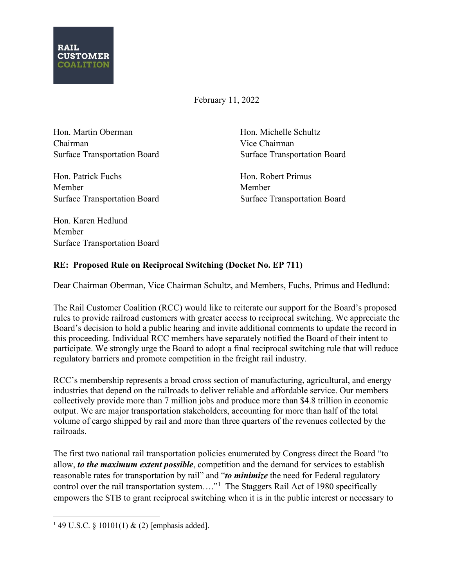

February 11, 2022

Hon. Martin Oberman Chairman Surface Transportation Board Hon. Michelle Schultz Vice Chairman Surface Transportation Board

Hon. Patrick Fuchs Member Surface Transportation Board Hon. Robert Primus Member Surface Transportation Board

Hon. Karen Hedlund Member Surface Transportation Board

## **RE: Proposed Rule on Reciprocal Switching (Docket No. EP 711)**

Dear Chairman Oberman, Vice Chairman Schultz, and Members, Fuchs, Primus and Hedlund:

The Rail Customer Coalition (RCC) would like to reiterate our support for the Board's proposed rules to provide railroad customers with greater access to reciprocal switching. We appreciate the Board's decision to hold a public hearing and invite additional comments to update the record in this proceeding. Individual RCC members have separately notified the Board of their intent to participate. We strongly urge the Board to adopt a final reciprocal switching rule that will reduce regulatory barriers and promote competition in the freight rail industry.

RCC's membership represents a broad cross section of manufacturing, agricultural, and energy industries that depend on the railroads to deliver reliable and affordable service. Our members collectively provide more than 7 million jobs and produce more than \$4.8 trillion in economic output. We are major transportation stakeholders, accounting for more than half of the total volume of cargo shipped by rail and more than three quarters of the revenues collected by the railroads.

The first two national rail transportation policies enumerated by Congress direct the Board "to allow, *to the maximum extent possible*, competition and the demand for services to establish reasonable rates for transportation by rail" and "*to minimize* the need for Federal regulatory control over the rail transportation system...."<sup>[1](#page-0-0)</sup> The Staggers Rail Act of 1980 specifically empowers the STB to grant reciprocal switching when it is in the public interest or necessary to

<span id="page-0-0"></span><sup>&</sup>lt;sup>1</sup> 49 U.S.C. § 10101(1) & (2) [emphasis added].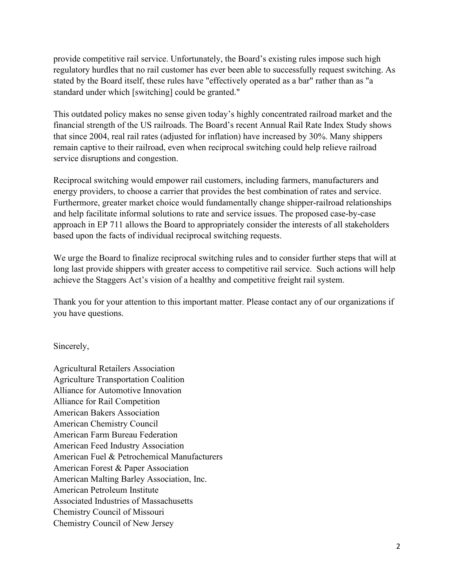provide competitive rail service. Unfortunately, the Board's existing rules impose such high regulatory hurdles that no rail customer has ever been able to successfully request switching. As stated by the Board itself, these rules have "effectively operated as a bar" rather than as "a standard under which [switching] could be granted."

This outdated policy makes no sense given today's highly concentrated railroad market and the financial strength of the US railroads. The Board's recent Annual Rail Rate Index Study shows that since 2004, real rail rates (adjusted for inflation) have increased by 30%. Many shippers remain captive to their railroad, even when reciprocal switching could help relieve railroad service disruptions and congestion.

Reciprocal switching would empower rail customers, including farmers, manufacturers and energy providers, to choose a carrier that provides the best combination of rates and service. Furthermore, greater market choice would fundamentally change shipper-railroad relationships and help facilitate informal solutions to rate and service issues. The proposed case-by-case approach in EP 711 allows the Board to appropriately consider the interests of all stakeholders based upon the facts of individual reciprocal switching requests.

We urge the Board to finalize reciprocal switching rules and to consider further steps that will at long last provide shippers with greater access to competitive rail service. Such actions will help achieve the Staggers Act's vision of a healthy and competitive freight rail system.

Thank you for your attention to this important matter. Please contact any of our organizations if you have questions.

Sincerely,

Agricultural Retailers Association Agriculture Transportation Coalition Alliance for Automotive Innovation Alliance for Rail Competition American Bakers Association American Chemistry Council American Farm Bureau Federation American Feed Industry Association American Fuel & Petrochemical Manufacturers American Forest & Paper Association American Malting Barley Association, Inc. American Petroleum Institute Associated Industries of Massachusetts Chemistry Council of Missouri Chemistry Council of New Jersey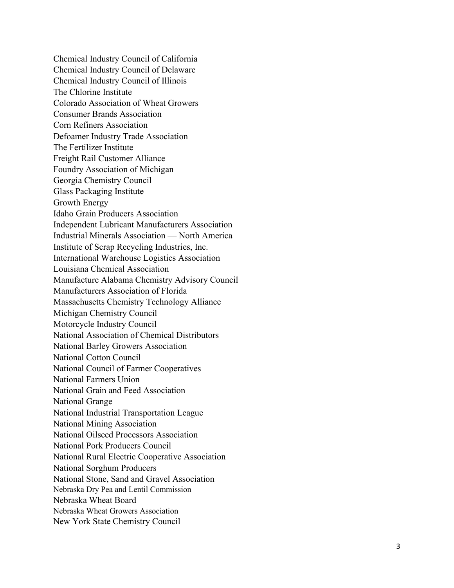Chemical Industry Council of California Chemical Industry Council of Delaware Chemical Industry Council of Illinois The Chlorine Institute Colorado Association of Wheat Growers Consumer Brands Association Corn Refiners Association Defoamer Industry Trade Association The Fertilizer Institute Freight Rail Customer Alliance Foundry Association of Michigan Georgia Chemistry Council Glass Packaging Institute Growth Energy Idaho Grain Producers Association Independent Lubricant Manufacturers Association Industrial Minerals Association — North America Institute of Scrap Recycling Industries, Inc. International Warehouse Logistics Association Louisiana Chemical Association Manufacture Alabama Chemistry Advisory Council Manufacturers Association of Florida Massachusetts Chemistry Technology Alliance Michigan Chemistry Council Motorcycle Industry Council National Association of Chemical Distributors National Barley Growers Association National Cotton Council National Council of Farmer Cooperatives National Farmers Union National Grain and Feed Association National Grange National Industrial Transportation League National Mining Association National Oilseed Processors Association National Pork Producers Council National Rural Electric Cooperative Association National Sorghum Producers National Stone, San d and Gravel Association Nebraska Dry Pea and Lentil Commission Nebraska Wheat Board Nebraska Wheat Growers Association New York State Chemistry Council